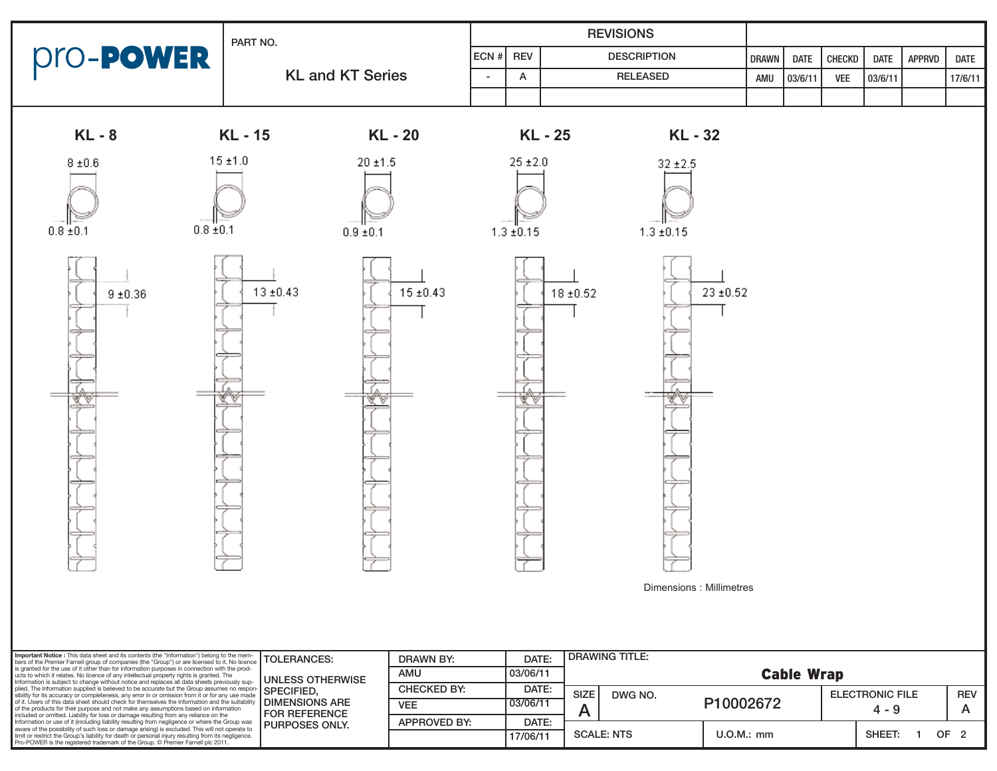|                              | PART NO.                       |                | <b>REVISIONS</b> |               |                                              |              |             |            |             |               |             |
|------------------------------|--------------------------------|----------------|------------------|---------------|----------------------------------------------|--------------|-------------|------------|-------------|---------------|-------------|
| pro- <b>PowER</b>            |                                | ECN#           | <b>REV</b>       |               | <b>DESCRIPTION</b>                           | <b>DRAWN</b> | <b>DATE</b> | CHECKD     | <b>DATE</b> | <b>APPRVD</b> | <b>DATE</b> |
|                              | <b>KL and KT Series</b>        | $\blacksquare$ | A                |               | <b>RELEASED</b>                              | AMU          | 03/6/11     | <b>VEE</b> | 03/6/11     |               | 17/6/11     |
|                              |                                |                |                  |               |                                              |              |             |            |             |               |             |
| <b>KL-8</b>                  | <b>KL-15</b><br>KL - 20        |                |                  | KL - 25       | KL - 32                                      |              |             |            |             |               |             |
| $8\pm0.6$                    | 15 ± 1.0<br>$20 \pm 1.5$       |                | $25 \pm 2.0$     |               | $32 \pm 2.5$                                 |              |             |            |             |               |             |
| $0.8 \pm 0.1$<br>$0.8 + 0.1$ | $0.9 + 0.1$                    |                | $1.3 \pm 0.15$   |               | $1.3 \pm 0.15$                               |              |             |            |             |               |             |
| $9\pm0.36$                   | $13 \pm 0.43$<br>$15 \pm 0.43$ |                | v                | $18 \pm 0.52$ | $23\pm0.52$<br>₩<br>Dimensions : Millimetres |              |             |            |             |               |             |

| Important Notice : This data sheet and its contents (the "Information") belong to the mem-<br>bers of the Premier Farnell group of companies (the "Group") or are licensed to it. No licence                                                                                                                                                                                                                                                                                                                                                                                                                                                                                                     | <b>ITOLERANCES:</b>                                                    | DRAWN BY:           | DATE:    | <b>DRAWING TITLE:</b>  |              |                                   |              |  |            |
|--------------------------------------------------------------------------------------------------------------------------------------------------------------------------------------------------------------------------------------------------------------------------------------------------------------------------------------------------------------------------------------------------------------------------------------------------------------------------------------------------------------------------------------------------------------------------------------------------------------------------------------------------------------------------------------------------|------------------------------------------------------------------------|---------------------|----------|------------------------|--------------|-----------------------------------|--------------|--|------------|
| is granted for the use of it other than for information purposes in connection with the prod-<br>ucts to which it relates. No licence of any intellectual property rights is granted. The<br>Information is subject to change without notice and replaces all data sheets previously sup-<br>plied. The Information supplied is believed to be accurate but the Group assumes no respon-<br>sibility for its accuracy or completeness, any error in or omission from it or for any use made SPECIFIED,<br>of it. Users of this data sheet should check for themselves the Information and the suitability<br>of the products for their purpose and not make any assumptions based on information | <b>IUNLESS OTHERWISE</b><br><b>I DIMENSIONS ARE</b><br>l FOR REFERENCE | AMU                 | 03/06/11 | <b>Cable Wrap</b>      |              |                                   |              |  |            |
|                                                                                                                                                                                                                                                                                                                                                                                                                                                                                                                                                                                                                                                                                                  |                                                                        | <b>CHECKED BY:</b>  | DATE:    | <b>SIZE</b><br>DWG NO. |              | <b>ELECTRONIC FILE</b><br>$4 - 9$ |              |  | <b>REV</b> |
|                                                                                                                                                                                                                                                                                                                                                                                                                                                                                                                                                                                                                                                                                                  |                                                                        | <b>VEE</b>          | 03/06/11 |                        | P10002672    |                                   |              |  |            |
| included or omitted. Liability for loss or damage resulting from any reliance on the<br>Information or use of it (including liability resulting from negligence or where the Group was                                                                                                                                                                                                                                                                                                                                                                                                                                                                                                           |                                                                        | <b>APPROVED BY:</b> | DATE:    |                        |              |                                   |              |  |            |
| aware of the possibility of such loss or damage arising) is excluded. This will not operate to                                                                                                                                                                                                                                                                                                                                                                                                                                                                                                                                                                                                   | <b>PURPOSES ONLY.</b>                                                  |                     |          |                        |              |                                   |              |  |            |
| limit or restrict the Group's liability for death or personal injury resulting from its negligence.<br>Pro-POWER is the registered trademark of the Group. © Premier Farnell plc 2011.                                                                                                                                                                                                                                                                                                                                                                                                                                                                                                           |                                                                        |                     | 17/06/11 | <b>SCALE: NTS</b>      | $U.O.M.:$ mm |                                   | SHEET<br>OF. |  |            |